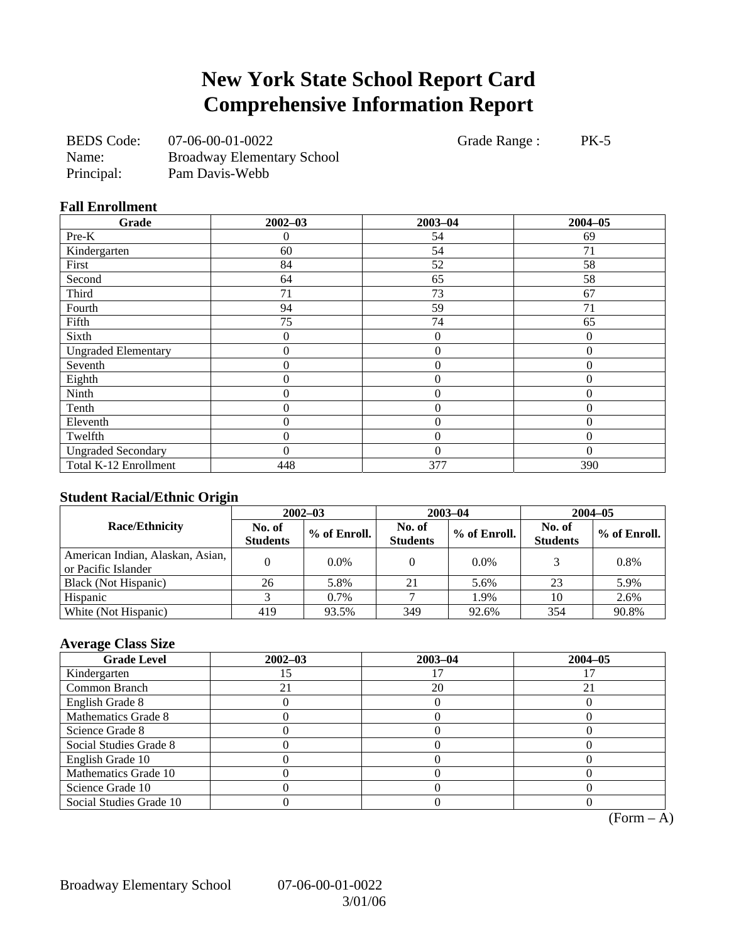# **New York State School Report Card Comprehensive Information Report**

| <b>BEDS</b> Code: | 07-06-00-01-0022                  |
|-------------------|-----------------------------------|
| Name:             | <b>Broadway Elementary School</b> |
| Principal:        | Pam Davis-Webb                    |

Grade Range : PK-5

#### **Fall Enrollment**

| Grade                      | $2002 - 03$      | $2003 - 04$    | $2004 - 05$    |
|----------------------------|------------------|----------------|----------------|
| Pre-K                      | 0                | 54             | 69             |
| Kindergarten               | 60               | 54             | 71             |
| First                      | 84               | 52             | 58             |
| Second                     | 64               | 65             | 58             |
| Third                      | 71               | 73             | 67             |
| Fourth                     | 94               | 59             | 71             |
| Fifth                      | 75               | 74             | 65             |
| Sixth                      | 0                | $\theta$       | $\Omega$       |
| <b>Ungraded Elementary</b> | 0                | $\theta$       | $\overline{0}$ |
| Seventh                    | $\boldsymbol{0}$ | $\mathbf{0}$   | $\theta$       |
| Eighth                     | $\boldsymbol{0}$ | $\mathbf{0}$   | $\Omega$       |
| Ninth                      | $\overline{0}$   | $\overline{0}$ | $\Omega$       |
| Tenth                      | $\overline{0}$   | $\overline{0}$ | $\theta$       |
| Eleventh                   | $\theta$         | $\theta$       | $\Omega$       |
| Twelfth                    | 0                | $\theta$       | $\Omega$       |
| <b>Ungraded Secondary</b>  | 0                | $\Omega$       | $\Omega$       |
| Total K-12 Enrollment      | 448              | 377            | 390            |

#### **Student Racial/Ethnic Origin**

|                                                         | $2002 - 03$               |              | $2003 - 04$               |              | $2004 - 05$               |              |
|---------------------------------------------------------|---------------------------|--------------|---------------------------|--------------|---------------------------|--------------|
| <b>Race/Ethnicity</b>                                   | No. of<br><b>Students</b> | % of Enroll. | No. of<br><b>Students</b> | % of Enroll. | No. of<br><b>Students</b> | % of Enroll. |
| American Indian, Alaskan, Asian,<br>or Pacific Islander |                           | $0.0\%$      |                           | $0.0\%$      |                           | 0.8%         |
| Black (Not Hispanic)                                    | 26                        | 5.8%         | 21                        | 5.6%         | 23                        | 5.9%         |
| Hispanic                                                |                           | 0.7%         |                           | 1.9%         | 10                        | 2.6%         |
| White (Not Hispanic)                                    | 419                       | 93.5%        | 349                       | 92.6%        | 354                       | 90.8%        |

### **Average Class Size**

| <b>Grade Level</b>      | $2002 - 03$ | $2003 - 04$ | $2004 - 05$ |
|-------------------------|-------------|-------------|-------------|
| Kindergarten            |             |             |             |
| Common Branch           |             | 20          |             |
| English Grade 8         |             |             |             |
| Mathematics Grade 8     |             |             |             |
| Science Grade 8         |             |             |             |
| Social Studies Grade 8  |             |             |             |
| English Grade 10        |             |             |             |
| Mathematics Grade 10    |             |             |             |
| Science Grade 10        |             |             |             |
| Social Studies Grade 10 |             |             |             |

 $\overline{(Form - A)}$ 

Broadway Elementary School 07-06-00-01-0022

3/01/06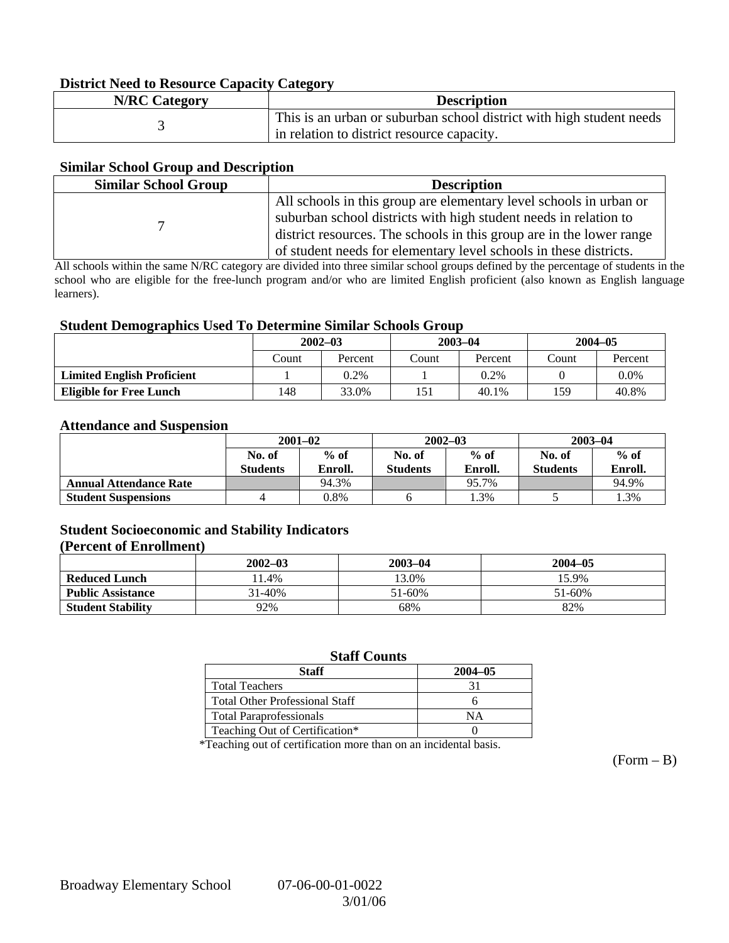#### **District Need to Resource Capacity Category**

| <b>N/RC Category</b> | <b>Description</b>                                                   |
|----------------------|----------------------------------------------------------------------|
|                      | This is an urban or suburban school district with high student needs |
|                      | in relation to district resource capacity.                           |

#### **Similar School Group and Description**

| <b>Similar School Group</b> | <b>Description</b>                                                                                                                                                                                                                                                                  |
|-----------------------------|-------------------------------------------------------------------------------------------------------------------------------------------------------------------------------------------------------------------------------------------------------------------------------------|
|                             | All schools in this group are elementary level schools in urban or<br>suburban school districts with high student needs in relation to<br>district resources. The schools in this group are in the lower range<br>of student needs for elementary level schools in these districts. |

All schools within the same N/RC category are divided into three similar school groups defined by the percentage of students in the school who are eligible for the free-lunch program and/or who are limited English proficient (also known as English language learners).

#### **Student Demographics Used To Determine Similar Schools Group**

| ີ                                 | $2002 - 03$ |         | $2003 - 04$ |         | $2004 - 05$ |         |
|-----------------------------------|-------------|---------|-------------|---------|-------------|---------|
|                                   | Count       | Percent | `ount       | Percent | Count       | Percent |
| <b>Limited English Proficient</b> |             | 0.2%    |             | 0.2%    |             | $0.0\%$ |
| <b>Eligible for Free Lunch</b>    | 148         | 33.0%   |             | 40.1%   | 159         | 40.8%   |

#### **Attendance and Suspension**

|                               | $2001 - 02$               |                   | $2002 - 03$               |                   | $2003 - 04$               |                   |
|-------------------------------|---------------------------|-------------------|---------------------------|-------------------|---------------------------|-------------------|
|                               | No. of<br><b>Students</b> | $%$ of<br>Enroll. | No. of<br><b>Students</b> | $%$ of<br>Enroll. | No. of<br><b>Students</b> | $%$ of<br>Enroll. |
| <b>Annual Attendance Rate</b> |                           | 94.3%             |                           | 95.7%             |                           | 94.9%             |
| <b>Student Suspensions</b>    |                           | $0.8\%$           |                           | 1.3%              |                           | 1.3%              |

### **Student Socioeconomic and Stability Indicators**

#### **(Percent of Enrollment)**

|                          | $2002 - 03$ | $2003 - 04$ | $2004 - 05$ |
|--------------------------|-------------|-------------|-------------|
| <b>Reduced Lunch</b>     | 1.4%        | 13.0%       | 15.9%       |
| <b>Public Assistance</b> | 31-40%      | 51-60%      | 51-60%      |
| <b>Student Stability</b> | 92%         | 68%         | 82%         |

#### **Staff Counts**

| Staff                                 | $2004 - 05$ |
|---------------------------------------|-------------|
| <b>Total Teachers</b>                 |             |
| <b>Total Other Professional Staff</b> |             |
| <b>Total Paraprofessionals</b>        | NΑ          |
| Teaching Out of Certification*        |             |

\*Teaching out of certification more than on an incidental basis.

 $(Form - B)$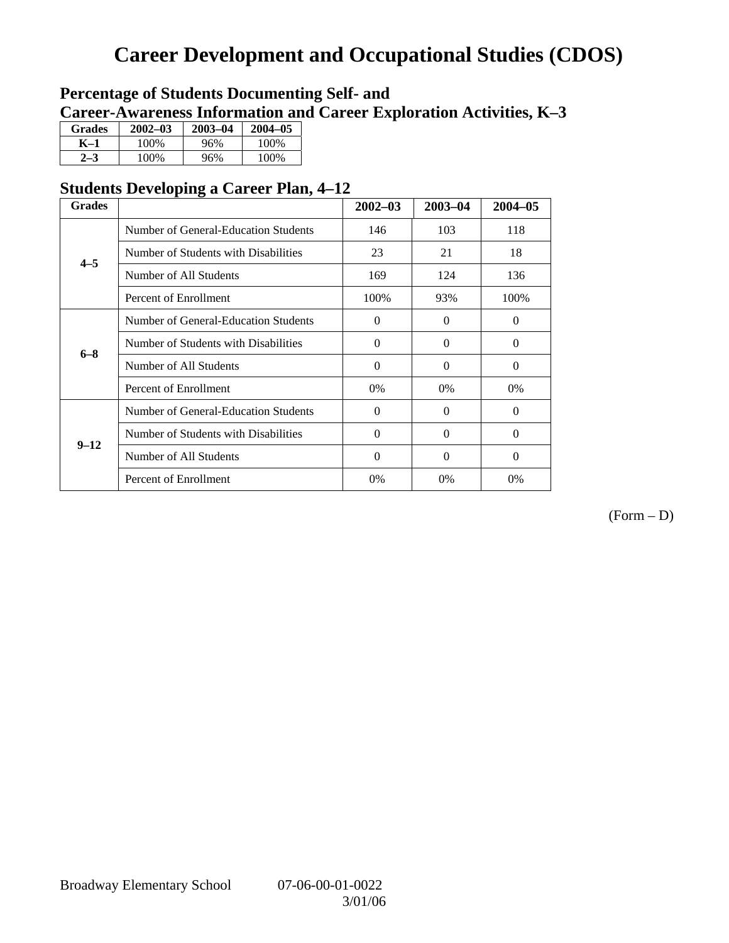# **Career Development and Occupational Studies (CDOS)**

### **Percentage of Students Documenting Self- and Career-Awareness Information and Career Exploration Activities, K–3**

| <b>Grades</b> | $2002 - 03$ | 2003-04 | $2004 - 05$ |
|---------------|-------------|---------|-------------|
| K-1           | 100\%       | 96%     | 100\%       |
| $2 - 3$       | 100\%       | 96%     | 100%        |

### **Students Developing a Career Plan, 4–12**

| <b>Grades</b> |                                      | $2002 - 03$ | $2003 - 04$ | $2004 - 05$ |
|---------------|--------------------------------------|-------------|-------------|-------------|
|               | Number of General-Education Students | 146         | 103         | 118         |
| $4 - 5$       | Number of Students with Disabilities | 23          | 21          | 18          |
|               | Number of All Students               | 169         | 124         | 136         |
|               | Percent of Enrollment                | 100%        | 93%         | 100%        |
| $6 - 8$       | Number of General-Education Students | $\Omega$    | $\theta$    | $\Omega$    |
|               | Number of Students with Disabilities | $\Omega$    | $\Omega$    | $\Omega$    |
|               | Number of All Students               | $\Omega$    | $\Omega$    | $\Omega$    |
|               | Percent of Enrollment                | 0%          | 0%          | 0%          |
|               | Number of General-Education Students | $\Omega$    | $\Omega$    | $\Omega$    |
| $9 - 12$      | Number of Students with Disabilities | $\Omega$    | $\Omega$    | $\Omega$    |
|               | Number of All Students               | $\Omega$    | $\Omega$    | $\Omega$    |
|               | Percent of Enrollment                | 0%          | $0\%$       | 0%          |

(Form – D)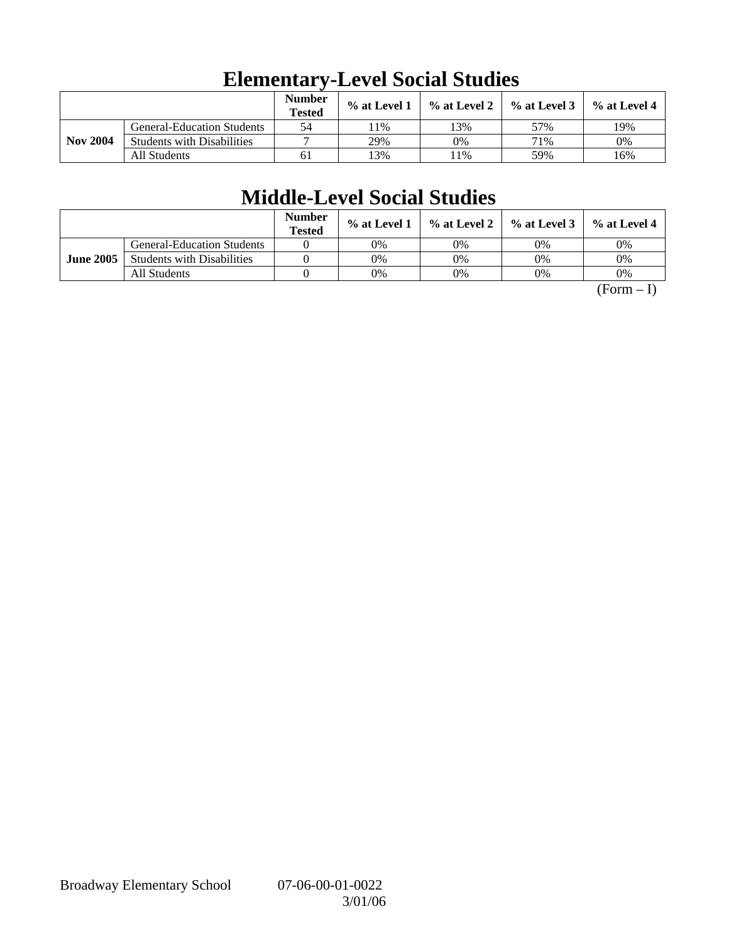|                 |                                   | <b>Number</b><br><b>Tested</b> | % at Level 1 | $\%$ at Level 2 | $%$ at Level 3 | $%$ at Level 4 |
|-----------------|-----------------------------------|--------------------------------|--------------|-----------------|----------------|----------------|
| <b>Nov 2004</b> | <b>General-Education Students</b> | 54                             | 1%           | 3%              | 57%            | 19%            |
|                 | <b>Students with Disabilities</b> |                                | 29%          | 0%              | 71%            | 0%             |
|                 | All Students                      | 61                             | 3%           | 1%              | 59%            | 16%            |

## **Elementary-Level Social Studies**

# **Middle-Level Social Studies**

|                  |                                   | Number<br><b>Tested</b> | $\%$ at Level 1 |    | $\%$ at Level 2 $\%$ at Level 3 | $%$ at Level 4 |
|------------------|-----------------------------------|-------------------------|-----------------|----|---------------------------------|----------------|
| <b>June 2005</b> | <b>General-Education Students</b> |                         | 0%              | 0% | 0%                              | 0%             |
|                  | <b>Students with Disabilities</b> |                         | 0%              | 0% | 0%                              | 0%             |
|                  | All Students                      |                         | 0%              | 0% | 0%                              | 0%             |

 $(Form - I)$